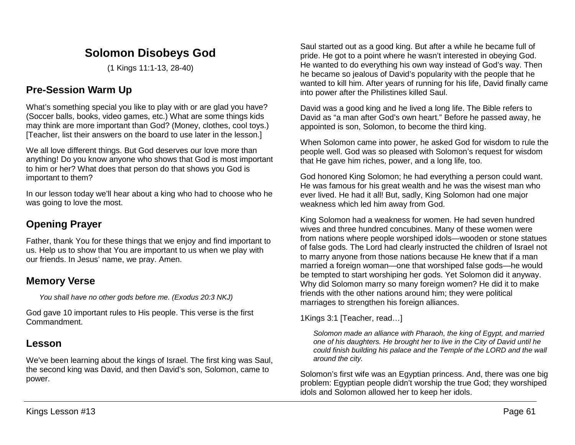# **Solomon Disobeys God**

(1 Kings 11:1-13, 28-40)

# **Pre-Session Warm Up**

What's something special you like to play with or are glad you have? (Soccer balls, books, video games, etc.) What are some things kids may think are more important than God? (Money, clothes, cool toys.) [Teacher, list their answers on the board to use later in the lesson.]

We all love different things. But God deserves our love more than anything! Do you know anyone who shows that God is most important to him or her? What does that person do that shows you God is important to them?

In our lesson today we'll hear about a king who had to choose who he was going to love the most.

# **Opening Prayer**

Father, thank You for these things that we enjoy and find important to us. Help us to show that You are important to us when we play with our friends. In Jesus' name, we pray. Amen.

## **Memory Verse**

*You shall have no other gods before me. (Exodus 20:3 NKJ)*

God gave 10 important rules to His people. This verse is the first Commandment.

## **Lesson**

We've been learning about the kings of Israel. The first king was Saul, the second king was David, and then David's son, Solomon, came to power.

Saul started out as a good king. But after a while he became full of pride. He got to a point where he wasn't interested in obeying God. He wanted to do everything his own way instead of God's way. Then he became so jealous of David's popularity with the people that he wanted to kill him. After years of running for his life, David finally came into power after the Philistines killed Saul.

David was a good king and he lived a long life. The Bible refers to David as "a man after God's own heart." Before he passed away, he appointed is son, Solomon, to become the third king.

When Solomon came into power, he asked God for wisdom to rule the people well. God was so pleased with Solomon's request for wisdom that He gave him riches, power, and a long life, too.

God honored King Solomon; he had everything a person could want. He was famous for his great wealth and he was the wisest man who ever lived. He had it all! But, sadly, King Solomon had one major weakness which led him away from God.

King Solomon had a weakness for women. He had seven hundred wives and three hundred concubines. Many of these women were from nations where people worshiped idols—wooden or stone statues of false gods. The Lord had clearly instructed the children of Israel not to marry anyone from those nations because He knew that if a man married a foreign woman—one that worshiped false gods—he would be tempted to start worshiping her gods. Yet Solomon did it anyway. Why did Solomon marry so many foreign women? He did it to make friends with the other nations around him; they were political marriages to strengthen his foreign alliances.

1Kings 3:1 [Teacher, read…]

*Solomon made an alliance with Pharaoh, the king of Egypt, and married one of his daughters. He brought her to live in the City of David until he could finish building his palace and the Temple of the LORD and the wall around the city.*

Solomon's first wife was an Egyptian princess. And, there was one big problem: Egyptian people didn't worship the true God; they worshiped idols and Solomon allowed her to keep her idols.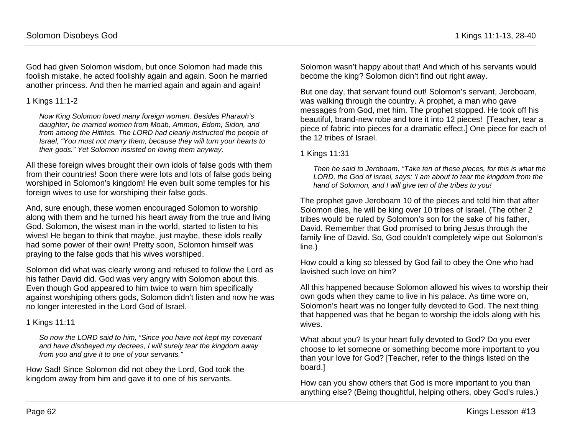God had given Solomon wisdom, but once Solomon had made this foolish mistake, he acted foolishly again and again. Soon he married another princess. And then he married again and again and again!

## 1 Kings 11:1-2

*Now King Solomon loved many foreign women. Besides Pharaoh's daughter, he married women from Moab, Ammon, Edom, Sidon, and from among the Hittites. The LORD had clearly instructed the people of Israel, "You must not marry them, because they will turn your hearts to their gods." Yet Solomon insisted on loving them anyway.* 

All these foreign wives brought their own idols of false gods with them from their countries! Soon there were lots and lots of false gods being worshiped in Solomon's kingdom! He even built some temples for his foreign wives to use for worshiping their false gods.

And, sure enough, these women encouraged Solomon to worship along with them and he turned his heart away from the true and living God. Solomon, the wisest man in the world, started to listen to his wives! He began to think that maybe, just maybe, these idols really had some power of their own! Pretty soon, Solomon himself was praying to the false gods that his wives worshiped.

Solomon did what was clearly wrong and refused to follow the Lord as his father David did. God was very angry with Solomon about this. Even though God appeared to him twice to warn him specifically against worshiping others gods, Solomon didn't listen and now he was no longer interested in the Lord God of Israel.

## 1 Kings 11:11

*So now the LORD said to him, "Since you have not kept my covenant and have disobeyed my decrees, I will surely tear the kingdom away from you and give it to one of your servants."*

How Sad! Since Solomon did not obey the Lord, God took the kingdom away from him and gave it to one of his servants.

Solomon wasn't happy about that! And which of his servants would become the king? Solomon didn't find out right away.

But one day, that servant found out! Solomon's servant, Jeroboam, was walking through the country. A prophet, a man who gave messages from God, met him. The prophet stopped. He took off his beautiful, brand-new robe and tore it into 12 pieces! [Teacher, tear a piece of fabric into pieces for a dramatic effect.] One piece for each of the 12 tribes of Israel.

### 1 Kings 11:31

*Then he said to Jeroboam, "Take ten of these pieces, for this is what the LORD, the God of Israel, says: 'I am about to tear the kingdom from the hand of Solomon, and I will give ten of the tribes to you!*

The prophet gave Jeroboam 10 of the pieces and told him that after Solomon dies, he will be king over 10 tribes of Israel. (The other 2 tribes would be ruled by Solomon's son for the sake of his father, David. Remember that God promised to bring Jesus through the family line of David. So, God couldn't completely wipe out Solomon's line.)

How could a king so blessed by God fail to obey the One who had lavished such love on him?

All this happened because Solomon allowed his wives to worship their own gods when they came to live in his palace. As time wore on, Solomon's heart was no longer fully devoted to God. The next thing that happened was that he began to worship the idols along with his wives.

What about you? Is your heart fully devoted to God? Do you ever choose to let someone or something become more important to you than your love for God? [Teacher, refer to the things listed on the board.]

How can you show others that God is more important to you than anything else? (Being thoughtful, helping others, obey God's rules.)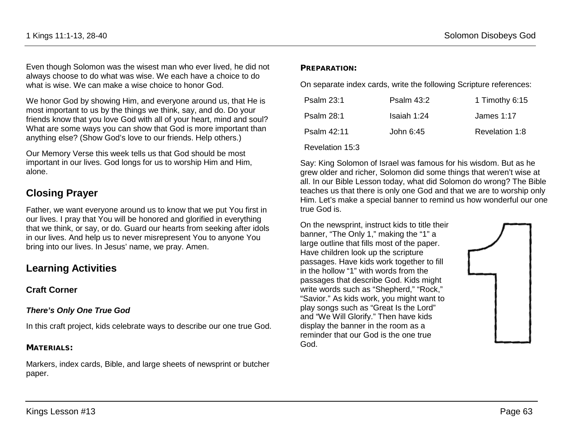Even though Solomon was the wisest man who ever lived, he did not always choose to do what was wise. We each have a choice to do what is wise. We can make a wise choice to honor God.

We honor God by showing Him, and everyone around us, that He is most important to us by the things we think, say, and do. Do your friends know that you love God with all of your heart, mind and soul? What are some ways you can show that God is more important than anything else? (Show God's love to our friends. Help others.)

Our Memory Verse this week tells us that God should be most important in our lives. God longs for us to worship Him and Him, alone.

## **Closing Prayer**

Father, we want everyone around us to know that we put You first in our lives. I pray that You will be honored and glorified in everything that we think, or say, or do. Guard our hearts from seeking after idols in our lives. And help us to never misrepresent You to anyone You bring into our lives. In Jesus' name, we pray. Amen.

## **Learning Activities**

### **Craft Corner**

### *There's Only One True God*

In this craft project, kids celebrate ways to describe our one true God.

### MATERIALS:

Markers, index cards, Bible, and large sheets of newsprint or butcher paper.

#### PREPARATION:

On separate index cards, write the following Scripture references:

| <b>Psalm 23:1</b> | <b>Psalm 43:2</b> | 1 Timothy 6:15 |
|-------------------|-------------------|----------------|
| <b>Psalm 28:1</b> | Isaiah 1:24       | James 1:17     |
| Psalm 42:11       | John 6:45         | Revelation 1:8 |

#### Revelation 15:3

Say: King Solomon of Israel was famous for his wisdom. But as he grew older and richer, Solomon did some things that weren't wise at all. In our Bible Lesson today, what did Solomon do wrong? The Bible teaches us that there is only one God and that we are to worship only Him. Let's make a special banner to remind us how wonderful our one true God is.

On the newsprint, instruct kids to title their banner, "The Only 1," making the "1" a large outline that fills most of the paper. Have children look up the scripture passages. Have kids work together to fill in the hollow "1" with words from the passages that describe God. Kids might write words such as "Shepherd," "Rock," "Savior." As kids work, you might want to play songs such as "Great Is the Lord" and "We Will Glorify." Then have kids display the banner in the room as a reminder that our God is the one true God.

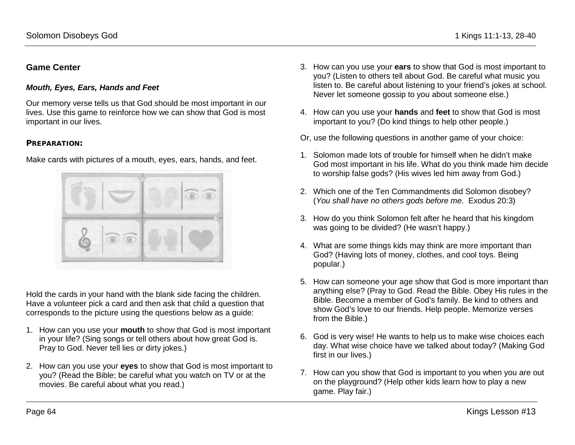### **Game Center**

#### *Mouth, Eyes, Ears, Hands and Feet*

Our memory verse tells us that God should be most important in our lives. Use this game to reinforce how we can show that God is most important in our lives.

#### PREPARATION:

Make cards with pictures of a mouth, eyes, ears, hands, and feet.

Hold the cards in your hand with the blank side facing the children. Have a volunteer pick a card and then ask that child a question that corresponds to the picture using the questions below as a guide:

- 1. How can you use your **mouth** to show that God is most important in your life? (Sing songs or tell others about how great God is. Pray to God. Never tell lies or dirty jokes.)
- 2. How can you use your **eyes** to show that God is most important to you? (Read the Bible; be careful what you watch on TV or at the movies. Be careful about what you read.)
- 3. How can you use your **ears** to show that God is most important to you? (Listen to others tell about God. Be careful what music you listen to. Be careful about listening to your friend's jokes at school. Never let someone gossip to you about someone else.)
- 4. How can you use your **hands** and **feet** to show that God is most important to you? (Do kind things to help other people.)
- Or, use the following questions in another game of your choice:
- 1. Solomon made lots of trouble for himself when he didn't make God most important in his life. What do you think made him decide to worship false gods? (His wives led him away from God.)
- 2. Which one of the Ten Commandments did Solomon disobey? (*You shall have no others gods before me*. Exodus 20:3)
- 3. How do you think Solomon felt after he heard that his kingdom was going to be divided? (He wasn't happy.)
- 4. What are some things kids may think are more important than God? (Having lots of money, clothes, and cool toys. Being popular.)
- 5. How can someone your age show that God is more important than anything else? (Pray to God. Read the Bible. Obey His rules in the Bible. Become a member of God's family. Be kind to others and show God's love to our friends. Help people. Memorize verses from the Bible.)
- 6. God is very wise! He wants to help us to make wise choices each day. What wise choice have we talked about today? (Making God first in our lives.)
- 7. How can you show that God is important to you when you are out on the playground? (Help other kids learn how to play a new game. Play fair.)